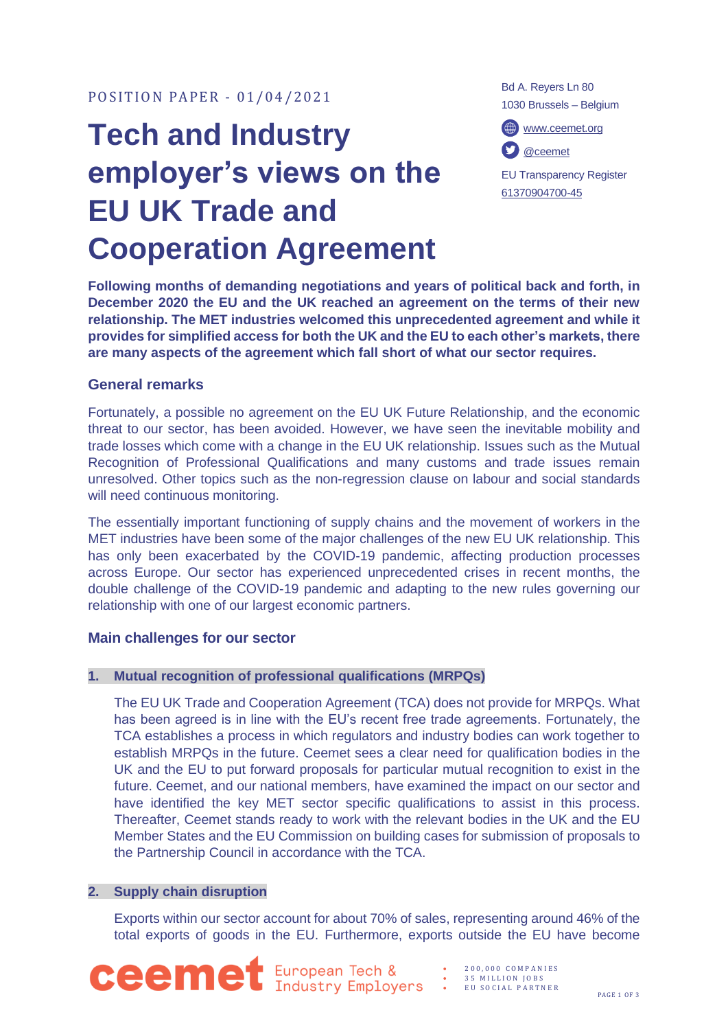# **Tech and Industry employer's views on the EU UK Trade and Cooperation Agreement**

Bd A. Reyers Ln 80 1030 Brussels – Belgium

[www.ceemet.org](http://www.ceemet.org/) [@ceemet](https://twitter.com/CEEMET)

EU Transparency Register [61370904700-45](http://ec.europa.eu/transparencyregister/public/consultation/displaylobbyist.do?id=61370904700-45&isListLobbyistView=true)

**Following months of demanding negotiations and years of political back and forth, in December 2020 the EU and the UK reached an agreement on the terms of their new relationship. The MET industries welcomed this unprecedented agreement and while it provides for simplified access for both the UK and the EU to each other's markets, there are many aspects of the agreement which fall short of what our sector requires.** 

# **General remarks**

Fortunately, a possible no agreement on the EU UK Future Relationship, and the economic threat to our sector, has been avoided. However, we have seen the inevitable mobility and trade losses which come with a change in the EU UK relationship. Issues such as the Mutual Recognition of Professional Qualifications and many customs and trade issues remain unresolved. Other topics such as the non-regression clause on labour and social standards will need continuous monitoring.

The essentially important functioning of supply chains and the movement of workers in the MET industries have been some of the major challenges of the new EU UK relationship. This has only been exacerbated by the COVID-19 pandemic, affecting production processes across Europe. Our sector has experienced unprecedented crises in recent months, the double challenge of the COVID-19 pandemic and adapting to the new rules governing our relationship with one of our largest economic partners.

## **Main challenges for our sector**

## **1. Mutual recognition of professional qualifications (MRPQs)**

The EU UK Trade and Cooperation Agreement (TCA) does not provide for MRPQs. What has been agreed is in line with the EU's recent free trade agreements. Fortunately, the TCA establishes a process in which regulators and industry bodies can work together to establish MRPQs in the future. Ceemet sees a clear need for qualification bodies in the UK and the EU to put forward proposals for particular mutual recognition to exist in the future. Ceemet, and our national members, have examined the impact on our sector and have identified the key MET sector specific qualifications to assist in this process. Thereafter, Ceemet stands ready to work with the relevant bodies in the UK and the EU Member States and the EU Commission on building cases for submission of proposals to the Partnership Council in accordance with the TCA.

### **2. Supply chain disruption**

Exports within our sector account for about 70% of sales, representing around 46% of the total exports of goods in the EU. Furthermore, exports outside the EU have become

**CEEME** European Tech & : 200,000 COMPANIES

- 3 5 M I L L I O N J O B S
- EU SOCIAL PARTNER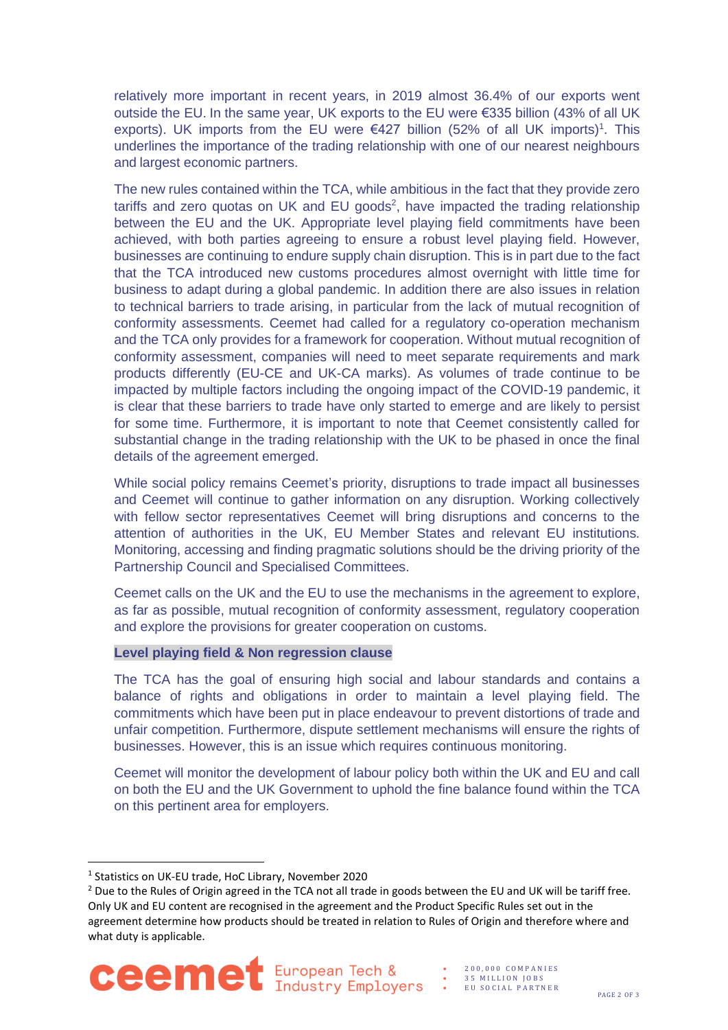relatively more important in recent years, in 2019 almost 36.4% of our exports went outside the EU. In the same year, UK exports to the EU were €335 billion (43% of all UK exports). UK imports from the EU were  $€427$  billion (52% of all UK imports)<sup>1</sup>. This underlines the importance of the trading relationship with one of our nearest neighbours and largest economic partners.

The new rules contained within the TCA, while ambitious in the fact that they provide zero tariffs and zero quotas on UK and EU goods<sup>2</sup>, have impacted the trading relationship between the EU and the UK. Appropriate level playing field commitments have been achieved, with both parties agreeing to ensure a robust level playing field. However, businesses are continuing to endure supply chain disruption. This is in part due to the fact that the TCA introduced new customs procedures almost overnight with little time for business to adapt during a global pandemic. In addition there are also issues in relation to technical barriers to trade arising, in particular from the lack of mutual recognition of conformity assessments. Ceemet had called for a regulatory co-operation mechanism and the TCA only provides for a framework for cooperation. Without mutual recognition of conformity assessment, companies will need to meet separate requirements and mark products differently (EU-CE and UK-CA marks). As volumes of trade continue to be impacted by multiple factors including the ongoing impact of the COVID-19 pandemic, it is clear that these barriers to trade have only started to emerge and are likely to persist for some time. Furthermore, it is important to note that Ceemet consistently called for substantial change in the trading relationship with the UK to be phased in once the final details of the agreement emerged.

While social policy remains Ceemet's priority, disruptions to trade impact all businesses and Ceemet will continue to gather information on any disruption. Working collectively with fellow sector representatives Ceemet will bring disruptions and concerns to the attention of authorities in the UK, EU Member States and relevant EU institutions. Monitoring, accessing and finding pragmatic solutions should be the driving priority of the Partnership Council and Specialised Committees.

Ceemet calls on the UK and the EU to use the mechanisms in the agreement to explore, as far as possible, mutual recognition of conformity assessment, regulatory cooperation and explore the provisions for greater cooperation on customs.

#### **Level playing field & Non regression clause**

The TCA has the goal of ensuring high social and labour standards and contains a balance of rights and obligations in order to maintain a level playing field. The commitments which have been put in place endeavour to prevent distortions of trade and unfair competition. Furthermore, dispute settlement mechanisms will ensure the rights of businesses. However, this is an issue which requires continuous monitoring.

Ceemet will monitor the development of labour policy both within the UK and EU and call on both the EU and the UK Government to uphold the fine balance found within the TCA on this pertinent area for employers.

<sup>&</sup>lt;sup>2</sup> Due to the Rules of Origin agreed in the TCA not all trade in goods between the EU and UK will be tariff free. Only UK and EU content are recognised in the agreement and the Product Specific Rules set out in the agreement determine how products should be treated in relation to Rules of Origin and therefore where and what duty is applicable.



- 2 0 0 , 0 0 0 C O M P A N I E S 35 MILLION JOBS
- E U S O C I A L P A R T N E R

<sup>1</sup> Statistics on UK-EU trade, HoC Library, November 2020